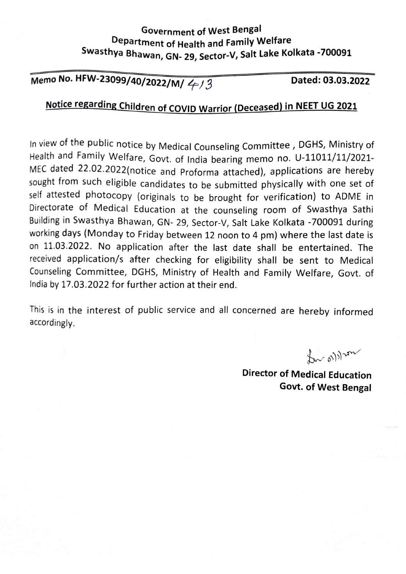### **Government of West Bengal** Department of Health and Family Welfare Swasthya Bhawan, GN- 29, Sector-V, Salt Lake Kolkata -700091

Memo No. HFW-23099/40/2022/M/  $4/3$ 

Dated: 03.03.2022

# Notice regarding Children of COVID Warrior (Deceased) in NEET UG 2021

In view of the public notice by Medical Counseling Committee, DGHS, Ministry of Health and Family Welfare, Govt. of India bearing memo no. U-11011/11/2021-MEC dated 22.02.2022(notice and Proforma attached), applications are hereby sought from such eligible candidates to be submitted physically with one set of self attested photocopy (originals to be brought for verification) to ADME in Directorate of Medical Education at the counseling room of Swasthya Sathi Building in Swasthya Bhawan, GN- 29, Sector-V, Salt Lake Kolkata -700091 during working days (Monday to Friday between 12 noon to 4 pm) where the last date is on 11.03.2022. No application after the last date shall be entertained. The received application/s after checking for eligibility shall be sent to Medical Counseling Committee, DGHS, Ministry of Health and Family Welfare, Govt. of India by 17.03.2022 for further action at their end.

This is in the interest of public service and all concerned are hereby informed accordingly.

for ordinary

**Director of Medical Education Govt. of West Bengal**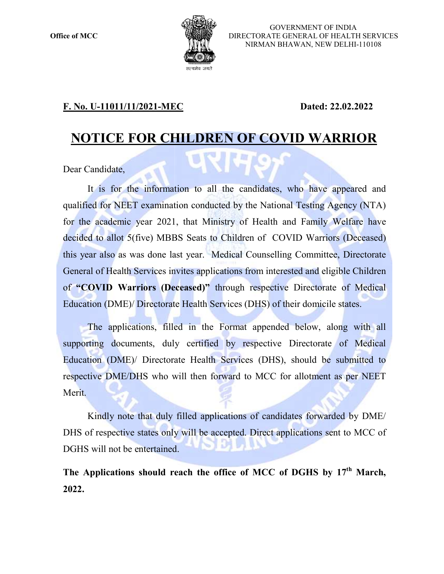

GOVERNMENT OF INDIA DIRECTORATE GENERAL OF HEALTH SERVICES NIRMAN BHAWAN, NEW DELHI BHAWAN, NEW DELHI-110108

### F. No. U-11011/11/2021-MEC

MEC **Dated: 22.02.2022** 

## NOTICE FOR CHILDREN OF COVID WARRIOR

Dear Candidate,

It is for the information to all the candidates, who have appeared and<br>ed for NEET examination conducted by the National Testing Agency (NTA)<br>a academic year 2021, that Ministry of Health and Family Welfare have<br>d to allot qualified for NEET examination conducted by the National Testing Agency (NTA) qualified for NEET examination conducted by the National Testing Agency (NTA)<br>for the academic year 2021, that Ministry of Health and Family Welfare have decided to allot 5(five) MBBS Seats to Children of COVID Warriors (Deceased) decided to allot 5(five) MBBS Seats to Children of COVID Warriors (Deceased)<br>this year also as was done last year. Medical Counselling Committee, Directorate General of Health Services invites applications from interested and eligible Children General of Health Services invites applications from interested and eligible Children<br>of "COVID Warriors (Deceased)" through respective Directorate of Medical Education (DME)/ Directorate Health Services (DHS) of their domicile states. this year also as was done last year. Medical Counselling Committee, Directorate<br>
General of Health Services invites applications from interested and eligible Children<br>
of "COVID Warriors (Deceased)" through respective Dir

The applications, filled in the Format appended below, along with all supporting documents, duly certified by respective Directorate of Medical Education (DME)/ Directorate Health Services (DHS), should be submitted to respective DME/DHS who will then forward to MCC for allotment as per NEET Merit. tive DME/DHS who will then forward to MCC for allotment as per NEET<br>Kindly note that duly filled applications of candidates forwarded by DME/ pplications, filled in the Format appended below, along with all<br>documents, duly certified by respective Directorate of Medical<br>DME)/ Directorate Health Services (DHS), should be submitted to

DHS of respective states only will be accepted. Direct applications sent to MCC of DGHS will not be entertained.

The Applications should reach the office of MCC of DGHS by  $17<sup>th</sup>$  March, 2022.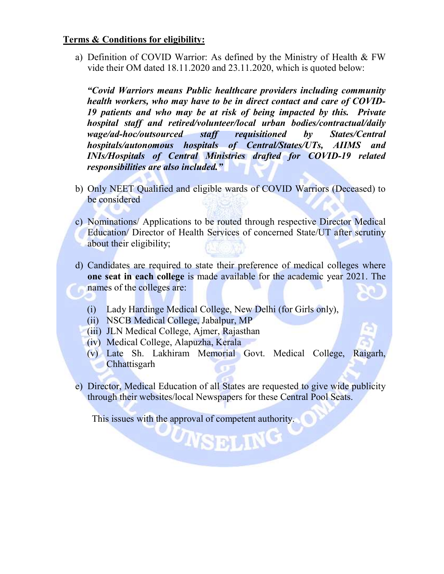#### Terms & Conditions for eligibility:

a) Definition of COVID Warrior: As defined by the Ministry of Health & FW vide their OM dated 18.11.2020 and 23.11.2020, which is quoted below:

"Covid Warriors means Public healthcare providers including community health workers, who may have to be in direct contact and care of COVID-19 patients and who may be at risk of being impacted by this. Private hospital staff and retired/volunteer/local urban bodies/contractual/daily wage/ad-hoc/outsourced staff requisitioned by States/Central hospitals/autonomous hospitals of Central/States/UTs, AIIMS and INIs/Hospitals of Central Ministries drafted for COVID-19 related responsibilities are also included."

- b) Only NEET Qualified and eligible wards of COVID Warriors (Deceased) to be considered
- c) Nominations/ Applications to be routed through respective Director Medical Education/ Director of Health Services of concerned State/UT after scrutiny about their eligibility;
- d) Candidates are required to state their preference of medical colleges where one seat in each college is made available for the academic year 2021. The names of the colleges are:
	- (i) Lady Hardinge Medical College, New Delhi (for Girls only),
	- (ii) NSCB Medical College, Jabalpur, MP
	- (iii) JLN Medical College, Ajmer, Rajasthan
	- (iv) Medical College, Alapuzha, Kerala
	- (v) Late Sh. Lakhiram Memorial Govt. Medical College, Raigarh, **Chhattisgarh**
- e) Director, Medical Education of all States are requested to give wide publicity through their websites/local Newspapers for these Central Pool Seats.

UNSELING

This issues with the approval of competent authority.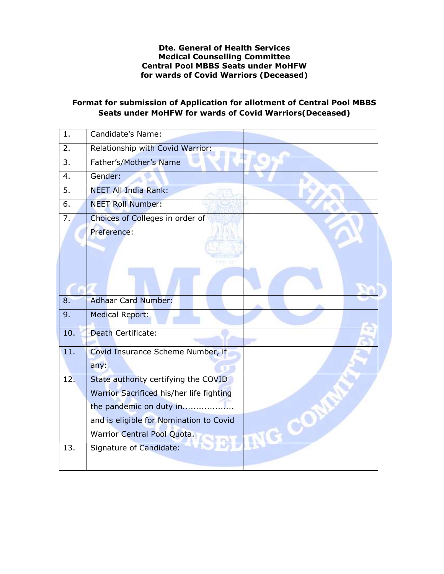#### Dte. General of Health Services Medical Counselling Committee Central Pool MBBS Seats under MoHFW for wards of Covid Warriors (Deceased)

#### Format for submission of Application for allotment of Central Pool MBBS Seats under MoHFW for wards of Covid Warriors(Deceased)

| $\mathbf{1}$ . | Candidate's Name:                        |  |
|----------------|------------------------------------------|--|
| 2.             | Relationship with Covid Warrior:         |  |
| 3.             | Father's/Mother's Name                   |  |
| 4.             | Gender:                                  |  |
| 5.             | <b>NEET All India Rank:</b>              |  |
| 6.             | <b>NEET Roll Number:</b>                 |  |
| 7.             | Choices of Colleges in order of          |  |
|                | Preference:                              |  |
|                |                                          |  |
|                |                                          |  |
|                |                                          |  |
|                |                                          |  |
| 8.             | <b>Adhaar Card Number:</b>               |  |
| 9.             | Medical Report:                          |  |
| 10.            | Death Certificate:                       |  |
| 11.            | Covid Insurance Scheme Number, if        |  |
|                | any:                                     |  |
| 12.            | State authority certifying the COVID     |  |
|                | Warrior Sacrificed his/her life fighting |  |
|                | the pandemic on duty in                  |  |
|                | and is eligible for Nomination to Covid  |  |
|                | Warrior Central Pool Quota.              |  |
| 13.            |                                          |  |
|                | Signature of Candidate:                  |  |
|                |                                          |  |